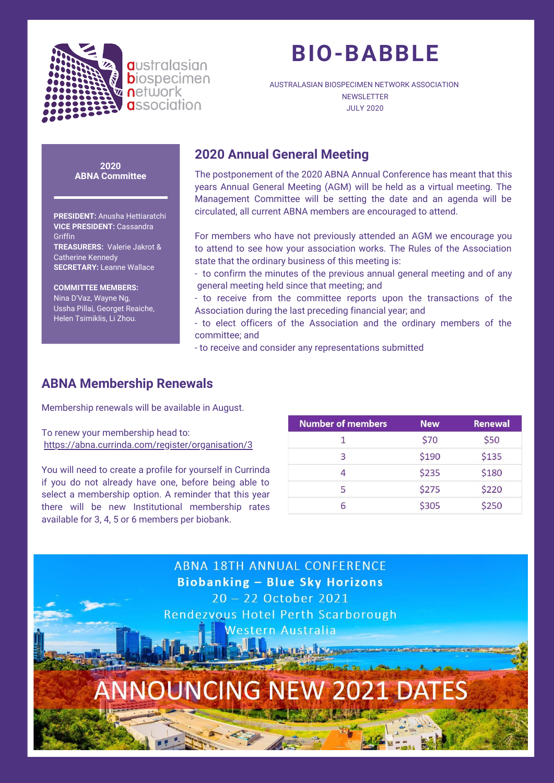

# **BIO-BABBLE**

AUSTRALASIAN BIOSPECIMEN NETWORK ASSOCIATION **NEWSLETTER** JULY 2020

#### **2020 ABNA Committee**

**PRESIDENT:** Anusha Hettiaratchi **VICE PRESIDENT:** Cassandra **Griffin TREASURERS:**  Valerie Jakrot & Catherine Kennedy **SECRETARY:** Leanne Wallace

**COMMITTEE MEMBERS:** Nina D'Vaz, Wayne Ng, Ussha Pillai, Georget Reaiche, Helen Tsimiklis, Li Zhou.

# **2020 Annual General Meeting**

The postponement of the 2020 ABNA Annual Conference has meant that this years Annual General Meeting (AGM) will be held as a virtual meeting. The Management Committee will be setting the date and an agenda will be circulated, all current ABNA members are encouraged to attend.

For members who have not previously attended an AGM we encourage you to attend to see how your association works. The Rules of the Association state that the ordinary business of this meeting is:

- to confirm the minutes of the previous annual general meeting and of any general meeting held since that meeting; and
- to receive from the committee reports upon the transactions of the Association during the last preceding financial year; and
- to elect officers of the Association and the ordinary members of the committee; and
- to receive and consider any representations submitted

# **ABNA Membership Renewals**

Membership renewals will be available in August.

To renew your membership head to: https://abna.currinda.com/register/organisation/3

You will need to create a profile for yourself in Currinda if you do not already have one, before being able to select a membership option. A reminder that this year there will be new Institutional membership rates available for 3, 4, 5 or 6 members per biobank.

| <b>Number of members</b> | <b>New</b> | <b>Renewal</b> |
|--------------------------|------------|----------------|
|                          | \$70       | \$50           |
| 3                        | \$190      | \$135          |
|                          | \$235      | \$180          |
| 5                        | \$275      | \$220          |
|                          | \$305      | \$250          |

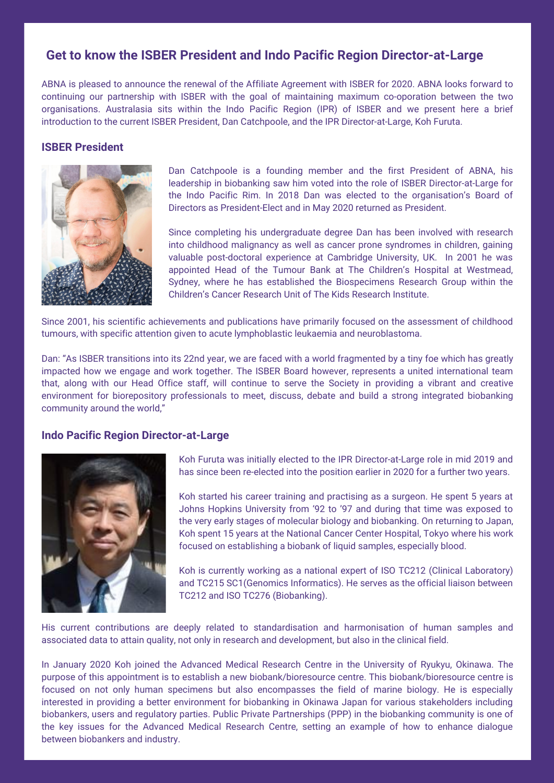## **Get to know the ISBER President and Indo Pacific Region Director-at-Large**

ABNA is pleased to announce the renewal of the Affiliate Agreement with ISBER for 2020. ABNA looks forward to continuing our partnership with ISBER with the goal of maintaining maximum co-oporation between the two organisations. Australasia sits within the Indo Pacific Region (IPR) of ISBER and we present here a brief introduction to the current ISBER President, Dan Catchpoole, and the IPR Director-at-Large, Koh Furuta.

## **ISBER President**



Dan Catchpoole is a founding member and the first President of ABNA, his leadership in biobanking saw him voted into the role of ISBER Director-at-Large for the Indo Pacific Rim. In 2018 Dan was elected to the organisation's Board of Directors as President-Elect and in May 2020 returned as President.

Since completing his undergraduate degree Dan has been involved with research into childhood malignancy as well as cancer prone syndromes in children, gaining valuable post-doctoral experience at Cambridge University, UK. In 2001 he was appointed Head of the Tumour Bank at The Children's Hospital at Westmead, Sydney, where he has established the Biospecimens Research Group within the Children's Cancer Research Unit of The Kids Research Institute.

Since 2001, his scientific achievements and publications have primarily focused on the assessment of childhood tumours, with specific attention given to acute lymphoblastic leukaemia and neuroblastoma.

Dan: "As ISBER transitions into its 22nd year, we are faced with a world fragmented by a tiny foe which has greatly impacted how we engage and work together. The ISBER Board however, represents a united international team that, along with our Head Office staff, will continue to serve the Society in providing a vibrant and creative environment for biorepository professionals to meet, discuss, debate and build a strong integrated biobanking community around the world,"

## **Indo Pacific Region Director-at-Large**



Koh Furuta was initially elected to the IPR Director-at-Large role in mid 2019 and has since been re-elected into the position earlier in 2020 for a further two years.

Koh started his career training and practising as a surgeon. He spent 5 years at Johns Hopkins University from '92 to '97 and during that time was exposed to the very early stages of molecular biology and biobanking. On returning to Japan, Koh spent 15 years at the National Cancer Center Hospital, Tokyo where his work focused on establishing a biobank of liquid samples, especially blood.

Koh is currently working as a national expert of ISO TC212 (Clinical Laboratory) and TC215 SC1(Genomics Informatics). He serves as the official liaison between TC212 and ISO TC276 (Biobanking).

His current contributions are deeply related to standardisation and harmonisation of human samples and associated data to attain quality, not only in research and development, but also in the clinical field.

In January 2020 Koh joined the Advanced Medical Research Centre in the University of Ryukyu, Okinawa. The purpose of this appointment is to establish a new biobank/bioresource centre. This biobank/bioresource centre is focused on not only human specimens but also encompasses the field of marine biology. He is especially interested in providing a better environment for biobanking in Okinawa Japan for various stakeholders including biobankers, users and regulatory parties. Public Private Partnerships (PPP) in the biobanking community is one of the key issues for the Advanced Medical Research Centre, setting an example of how to enhance dialogue between biobankers and industry.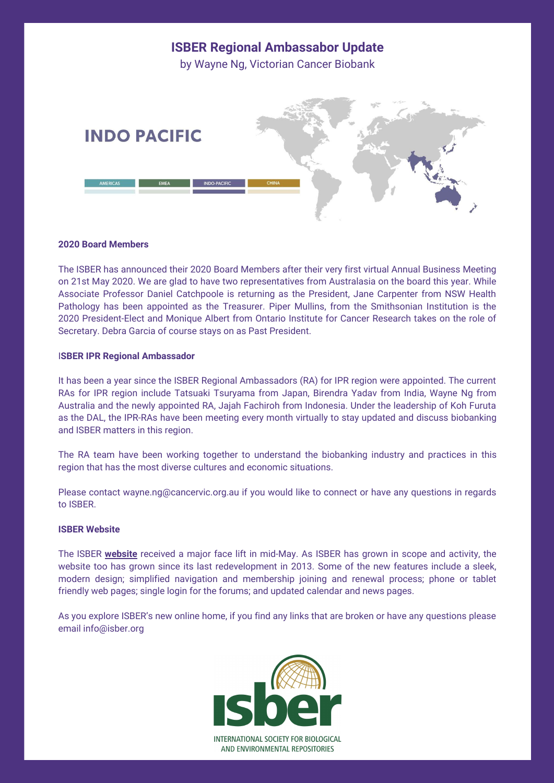

**ISBER Regional Ambassabor Update**

#### **2020 Board Members**

The ISBER has announced their 2020 Board Members after their very first virtual Annual Business Meeting on 21st May 2020. We are glad to have two representatives from Australasia on the board this year. While Associate Professor Daniel Catchpoole is returning as the President, Jane Carpenter from NSW Health Pathology has been appointed as the Treasurer. Piper Mullins, from the Smithsonian Institution is the 2020 President-Elect and Monique Albert from Ontario Institute for Cancer Research takes on the role of Secretary. Debra Garcia of course stays on as Past President.

#### I**SBER IPR Regional Ambassador**

It has been a year since the ISBER Regional Ambassadors (RA) for IPR region were appointed. The current RAs for IPR region include Tatsuaki Tsuryama from Japan, Birendra Yadav from India, Wayne Ng from Australia and the newly appointed RA, Jajah Fachiroh from Indonesia. Under the leadership of Koh Furuta as the DAL, the IPR-RAs have been meeting every month virtually to stay updated and discuss biobanking and ISBER matters in this region.

The RA team have been working together to understand the biobanking industry and practices in this region that has the most diverse cultures and economic situations.

Please contact wayne.ng@cancervic.org.au if you would like to connect or have any questions in regards to ISBER.

#### **ISBER Website**

The ISBER **[website](https://www.isber.org/)** received a major face lift in mid-May. As ISBER has grown in scope and activity, the website too has grown since its last redevelopment in 2013. Some of the new features include a sleek, modern design; simplified navigation and membership joining and renewal process; phone or tablet friendly web pages; single login for the forums; and updated calendar and news pages.

As you explore ISBER's new online home, if you find any links that are broken or have any questions please email info@isber.org